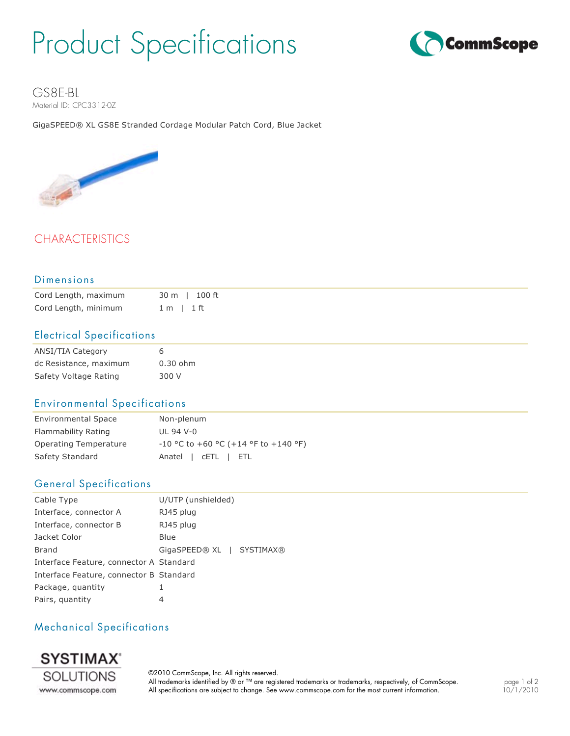# Product Specifications



GS8E-BL Material ID: CPC3312-0Z

GigaSPEED® XL GS8E Stranded Cordage Modular Patch Cord, Blue Jacket



# CHARACTERISTICS

#### Dimensions

| Cord Length, maximum |                | 30 m l 100 ft |
|----------------------|----------------|---------------|
| Cord Length, minimum | $1 m$   $1 ft$ |               |

#### Electrical Specifications

| <b>ANSI/TIA Category</b> | 6          |
|--------------------------|------------|
| dc Resistance, maximum   | $0.30$ ohm |
| Safety Voltage Rating    | 300 V      |

#### Environmental Specifications

| <b>Environmental Space</b> | Non-plenum                             |
|----------------------------|----------------------------------------|
| Flammability Rating        | UL 94 V-0                              |
| Operating Temperature      | $-10$ °C to +60 °C (+14 °F to +140 °F) |
| Safety Standard            | Anatel   CETL   ETL                    |

#### General Specifications

| Cable Type                              | U/UTP (unshielded)                |
|-----------------------------------------|-----------------------------------|
| Interface, connector A                  | RJ45 plug                         |
| Interface, connector B                  | RJ45 plug                         |
| Jacket Color                            | <b>Blue</b>                       |
| <b>Brand</b>                            | GigaSPEED® XL<br><b>SYSTIMAX®</b> |
| Interface Feature, connector A Standard |                                   |
| Interface Feature, connector B Standard |                                   |
| Package, quantity                       |                                   |
| Pairs, quantity                         | 4                                 |

### Mechanical Specifications



©2010 CommScope, Inc. All rights reserved. All trademarks identified by ® or ™ are registered trademarks or trademarks, respectively, of CommScope. All specifications are subject to change. See www.commscope.com for the most current information.